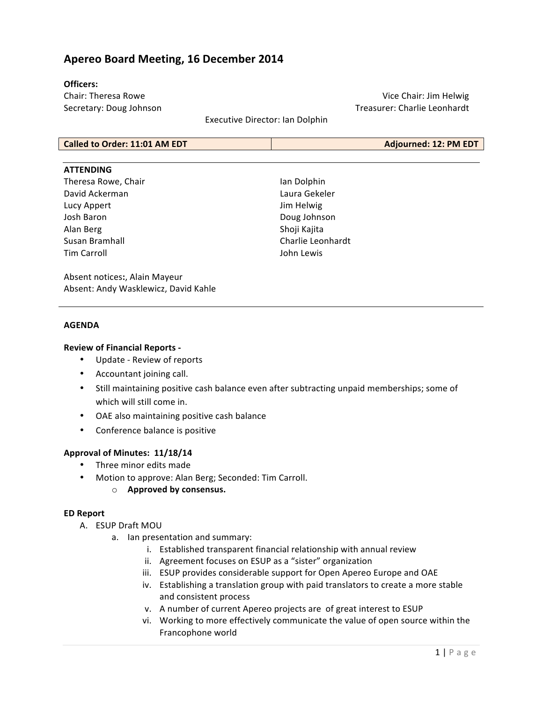# **Apereo Board Meeting, 16 December 2014**

### **Officers:**

Chair: Theresa Rowe Secretary: Doug Johnson

Vice Chair: Jim Helwig Treasurer: Charlie Leonhardt

Executive Director: Ian Dolphin

| Called to Order: 11:01 AM EDT | Adjourned: 12: PM EDT |
|-------------------------------|-----------------------|
|-------------------------------|-----------------------|

#### **ATTENDING**

Theresa Rowe, Chair David Ackerman Lucy Appert Josh Baron Alan Berg Susan Bramhall Tim Carroll

Ian Dolphin Laura Gekeler Jim Helwig Doug Johnson Shoji Kajita Charlie Leonhardt John Lewis

Absent notices:, Alain Mayeur Absent: Andy Wasklewicz, David Kahle

### **AGENDA**

### **Review of Financial Reports -**

- Update Review of reports
- Accountant joining call.
- Still maintaining positive cash balance even after subtracting unpaid memberships; some of which will still come in.
- OAE also maintaining positive cash balance
- Conference balance is positive

### Approval of Minutes: 11/18/14

- Three minor edits made
- Motion to approve: Alan Berg; Seconded: Tim Carroll.
	- o **Approved by consensus.**

#### **ED Report**

- A. ESUP Draft MOU
	- a. Ian presentation and summary:
		- i. Established transparent financial relationship with annual review
		- ii. Agreement focuses on ESUP as a "sister" organization
		- iii. ESUP provides considerable support for Open Apereo Europe and OAE
		- iv. Establishing a translation group with paid translators to create a more stable and consistent process
		- v. A number of current Apereo projects are of great interest to ESUP
		- vi. Working to more effectively communicate the value of open source within the Francophone world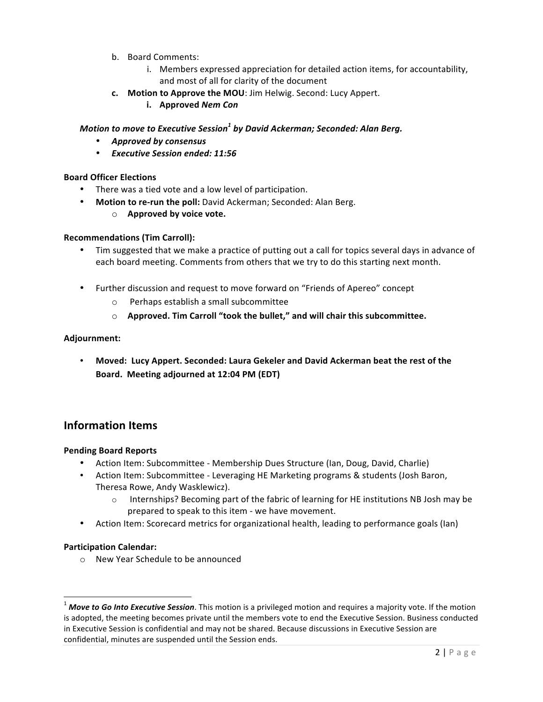- b. Board Comments:
	- i. Members expressed appreciation for detailed action items, for accountability, and most of all for clarity of the document
- **c.** Motion to Approve the MOU: Jim Helwig. Second: Lucy Appert.
	- **i. Approved** *Nem Con*

## *Motion to move to Executive Session<sup>1</sup> by David Ackerman; Seconded: Alan Berg.*

- *Approved by consensus*
- *Executive Session ended: 11:56*

### **Board Officer Elections**

- There was a tied vote and a low level of participation.
- Motion to re-run the poll: David Ackerman; Seconded: Alan Berg.
	- o **Approved by voice vote.**

### **Recommendations (Tim Carroll):**

- Tim suggested that we make a practice of putting out a call for topics several days in advance of each board meeting. Comments from others that we try to do this starting next month.
- Further discussion and request to move forward on "Friends of Apereo" concept
	- $\circ$  Perhaps establish a small subcommittee
	- o **Approved. Tim Carroll "took the bullet," and will chair this subcommittee.**

#### **Adjournment:**

Moved: Lucy Appert. Seconded: Laura Gekeler and David Ackerman beat the rest of the **Board. Meeting adjourned at 12:04 PM (EDT)**

# **Information Items**

#### **Pending Board Reports**

- Action Item: Subcommittee Membership Dues Structure (Ian, Doug, David, Charlie)
- Action Item: Subcommittee Leveraging HE Marketing programs & students (Josh Baron, Theresa Rowe, Andy Wasklewicz).
	- $\circ$  Internships? Becoming part of the fabric of learning for HE institutions NB Josh may be prepared to speak to this item - we have movement.
- Action Item: Scorecard metrics for organizational health, leading to performance goals (Ian)

#### **Participation Calendar:**

 

o New Year Schedule to be announced

<sup>&</sup>lt;sup>1</sup> Move to Go Into Executive Session. This motion is a privileged motion and requires a majority vote. If the motion is adopted, the meeting becomes private until the members vote to end the Executive Session. Business conducted in Executive Session is confidential and may not be shared. Because discussions in Executive Session are confidential, minutes are suspended until the Session ends.